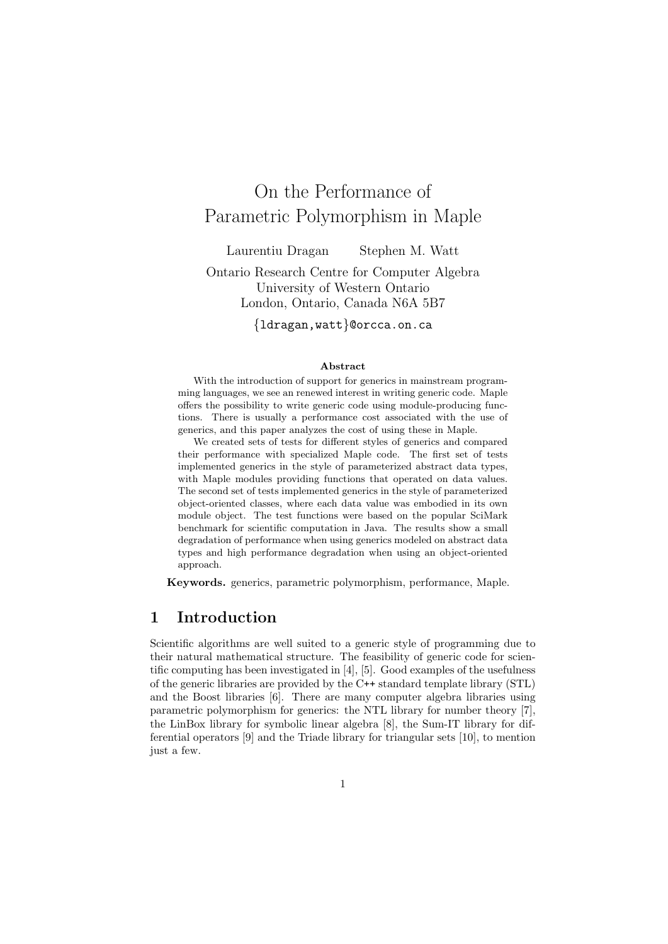# On the Performance of Parametric Polymorphism in Maple

Laurentiu Dragan Stephen M. Watt

Ontario Research Centre for Computer Algebra University of Western Ontario London, Ontario, Canada N6A 5B7

{ldragan,watt}@orcca.on.ca

#### Abstract

With the introduction of support for generics in mainstream programming languages, we see an renewed interest in writing generic code. Maple offers the possibility to write generic code using module-producing functions. There is usually a performance cost associated with the use of generics, and this paper analyzes the cost of using these in Maple.

We created sets of tests for different styles of generics and compared their performance with specialized Maple code. The first set of tests implemented generics in the style of parameterized abstract data types, with Maple modules providing functions that operated on data values. The second set of tests implemented generics in the style of parameterized object-oriented classes, where each data value was embodied in its own module object. The test functions were based on the popular SciMark benchmark for scientific computation in Java. The results show a small degradation of performance when using generics modeled on abstract data types and high performance degradation when using an object-oriented approach.

Keywords. generics, parametric polymorphism, performance, Maple.

# 1 Introduction

Scientific algorithms are well suited to a generic style of programming due to their natural mathematical structure. The feasibility of generic code for scientific computing has been investigated in [4], [5]. Good examples of the usefulness of the generic libraries are provided by the C++ standard template library (STL) and the Boost libraries [6]. There are many computer algebra libraries using parametric polymorphism for generics: the NTL library for number theory [7], the LinBox library for symbolic linear algebra [8], the Sum-IT library for differential operators [9] and the Triade library for triangular sets [10], to mention just a few.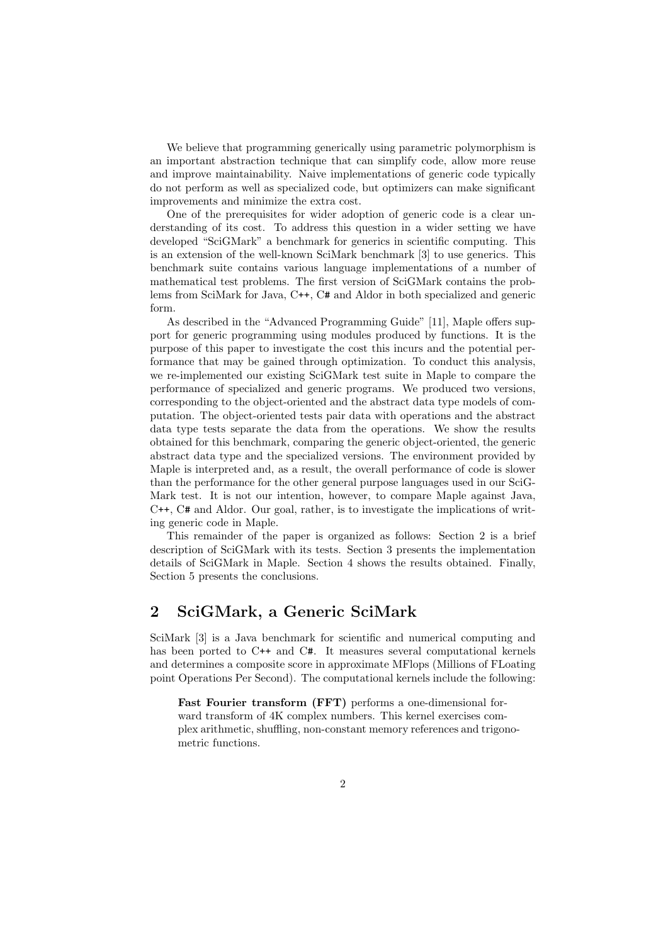We believe that programming generically using parametric polymorphism is an important abstraction technique that can simplify code, allow more reuse and improve maintainability. Naive implementations of generic code typically do not perform as well as specialized code, but optimizers can make significant improvements and minimize the extra cost.

One of the prerequisites for wider adoption of generic code is a clear understanding of its cost. To address this question in a wider setting we have developed "SciGMark" a benchmark for generics in scientific computing. This is an extension of the well-known SciMark benchmark [3] to use generics. This benchmark suite contains various language implementations of a number of mathematical test problems. The first version of SciGMark contains the problems from SciMark for Java, C++, C# and Aldor in both specialized and generic form.

As described in the "Advanced Programming Guide" [11], Maple offers support for generic programming using modules produced by functions. It is the purpose of this paper to investigate the cost this incurs and the potential performance that may be gained through optimization. To conduct this analysis, we re-implemented our existing SciGMark test suite in Maple to compare the performance of specialized and generic programs. We produced two versions, corresponding to the object-oriented and the abstract data type models of computation. The object-oriented tests pair data with operations and the abstract data type tests separate the data from the operations. We show the results obtained for this benchmark, comparing the generic object-oriented, the generic abstract data type and the specialized versions. The environment provided by Maple is interpreted and, as a result, the overall performance of code is slower than the performance for the other general purpose languages used in our SciG-Mark test. It is not our intention, however, to compare Maple against Java, C++, C# and Aldor. Our goal, rather, is to investigate the implications of writing generic code in Maple.

This remainder of the paper is organized as follows: Section 2 is a brief description of SciGMark with its tests. Section 3 presents the implementation details of SciGMark in Maple. Section 4 shows the results obtained. Finally, Section 5 presents the conclusions.

# 2 SciGMark, a Generic SciMark

SciMark [3] is a Java benchmark for scientific and numerical computing and has been ported to C++ and C#. It measures several computational kernels and determines a composite score in approximate MFlops (Millions of FLoating point Operations Per Second). The computational kernels include the following:

Fast Fourier transform (FFT) performs a one-dimensional forward transform of 4K complex numbers. This kernel exercises complex arithmetic, shuffling, non-constant memory references and trigonometric functions.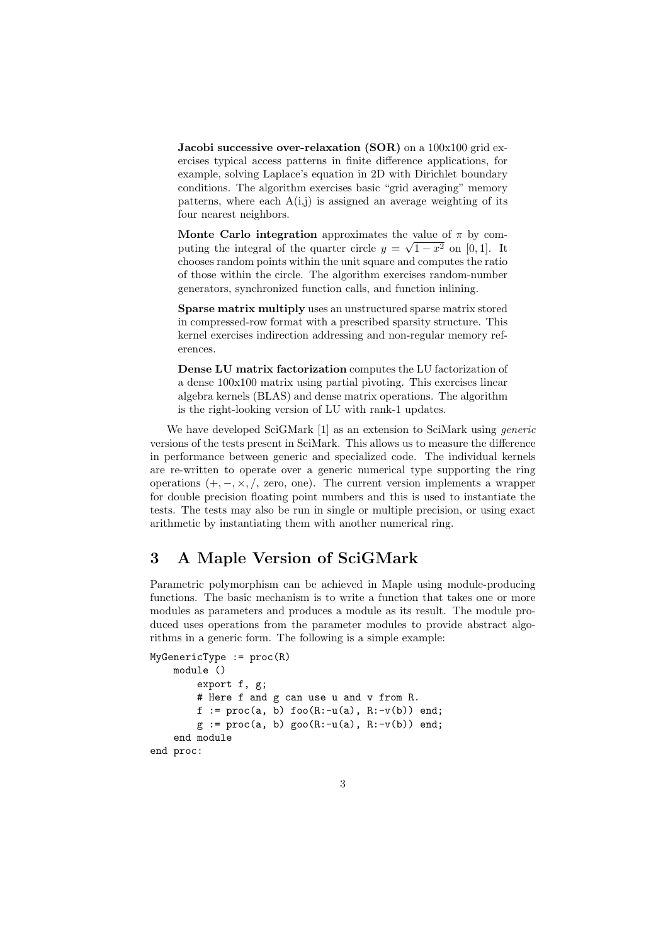**Jacobi successive over-relaxation (SOR)** on a  $100x100$  grid exercises typical access patterns in finite difference applications, for example, solving Laplace's equation in 2D with Dirichlet boundary conditions. The algorithm exercises basic "grid averaging" memory patterns, where each  $A(i,j)$  is assigned an average weighting of its four nearest neighbors.

Monte Carlo integration approximates the value of  $\pi$  by computing the integral of the quarter circle  $y = \sqrt{1-x^2}$  on [0,1]. It chooses random points within the unit square and computes the ratio of those within the circle. The algorithm exercises random-number generators, synchronized function calls, and function inlining.

Sparse matrix multiply uses an unstructured sparse matrix stored in compressed-row format with a prescribed sparsity structure. This kernel exercises indirection addressing and non-regular memory references.

Dense LU matrix factorization computes the LU factorization of a dense 100x100 matrix using partial pivoting. This exercises linear algebra kernels (BLAS) and dense matrix operations. The algorithm is the right-looking version of LU with rank-1 updates.

We have developed SciGMark [1] as an extension to SciMark using *generic* versions of the tests present in SciMark. This allows us to measure the difference in performance between generic and specialized code. The individual kernels are re-written to operate over a generic numerical type supporting the ring operations  $(+, -, \times, /,$  zero, one). The current version implements a wrapper for double precision floating point numbers and this is used to instantiate the tests. The tests may also be run in single or multiple precision, or using exact arithmetic by instantiating them with another numerical ring.

# 3 A Maple Version of SciGMark

Parametric polymorphism can be achieved in Maple using module-producing functions. The basic mechanism is to write a function that takes one or more modules as parameters and produces a module as its result. The module produced uses operations from the parameter modules to provide abstract algorithms in a generic form. The following is a simple example:

```
MyGeneratorType := proc(R)module ()
         export f, g;
         # Here f and g can use u and v from R.
         f := proc(a, b) foo(R:-u(a), R:-v(b)) end;g := \text{proc}(a, b) \text{geo}(R:-u(a), R:-v(b)) \text{end};end module
end proc:
```
3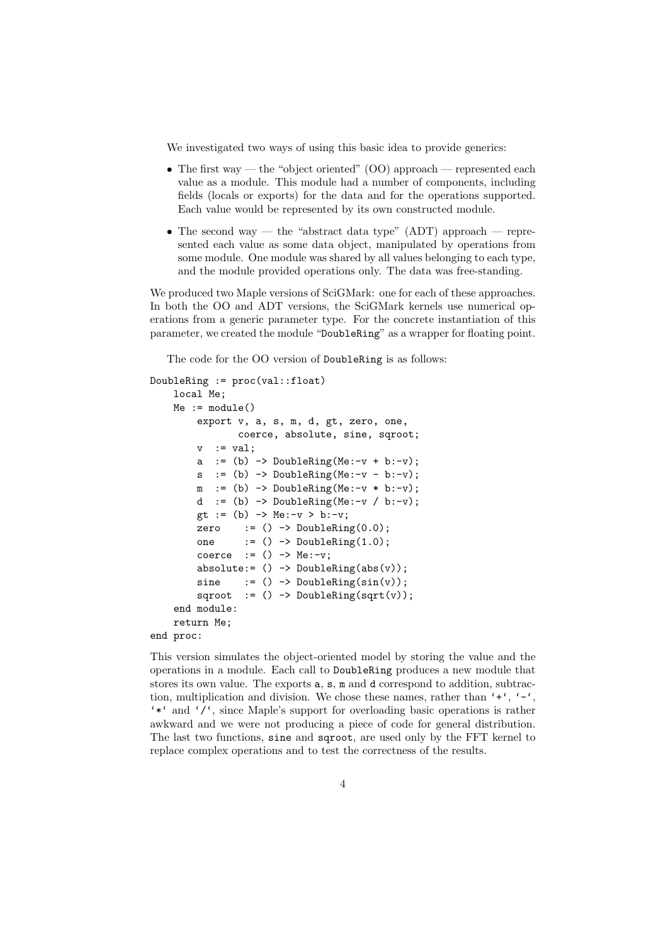We investigated two ways of using this basic idea to provide generics:

- The first way the "object oriented"  $(00)$  approach represented each value as a module. This module had a number of components, including fields (locals or exports) for the data and for the operations supported. Each value would be represented by its own constructed module.
- The second way the "abstract data type" (ADT) approach represented each value as some data object, manipulated by operations from some module. One module was shared by all values belonging to each type, and the module provided operations only. The data was free-standing.

We produced two Maple versions of SciGMark: one for each of these approaches. In both the OO and ADT versions, the SciGMark kernels use numerical operations from a generic parameter type. For the concrete instantiation of this parameter, we created the module "DoubleRing" as a wrapper for floating point.

The code for the OO version of DoubleRing is as follows:

```
DoubleRing := proc(val::float)
    local Me;
    Me := module()export v, a, s, m, d, gt, zero, one,
                coerce, absolute, sine, sqroot;
         v := val;a := (b) -> DoubleRing(Me:-v + b:-v);
         s : = (b) \rightarrow DoubleRing(Me:-v - b:-v);m : = (b) \rightarrow DoubleRing(Me:-v * b:-v);d := (b) \rightarrow DoubleRing(Me:-v / b:-v);
         gt := (b) -> Me:-v > b:-v;
         zero := () \rightarrow DoubleRing(0.0);
         one := () \rightarrow DoubleRing(1.0);
         coerce := () \rightarrow Me:-v;
         absolute:= () \rightarrow DoubleRing(abs(v));sine := () -> DoubleRing(sin(v));
         sqroot := () \rightarrow DoubleRing(sqrt(v));end module:
    return Me;
end proc:
```
This version simulates the object-oriented model by storing the value and the operations in a module. Each call to DoubleRing produces a new module that stores its own value. The exports  $a$ ,  $s$ ,  $m$  and  $d$  correspond to addition, subtraction, multiplication and division. We chose these names, rather than  $'$ + $'$ ,  $'$ - $'$ , '\*' and '/', since Maple's support for overloading basic operations is rather awkward and we were not producing a piece of code for general distribution. The last two functions, sine and sqroot, are used only by the FFT kernel to replace complex operations and to test the correctness of the results.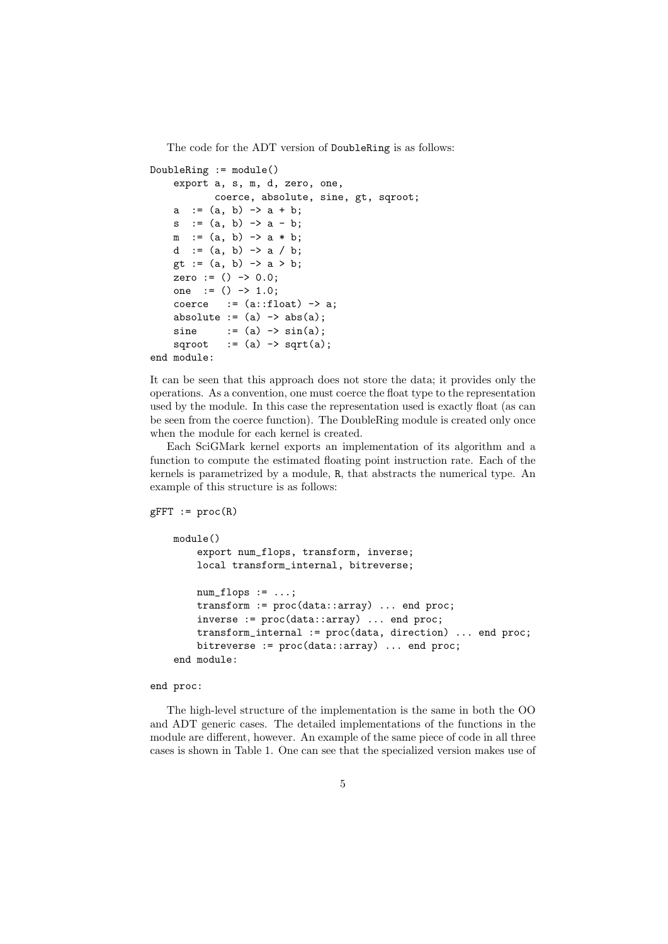The code for the ADT version of DoubleRing is as follows:

```
DoubleRing := module()
     export a, s, m, d, zero, one,
             coerce, absolute, sine, gt, sqroot;
     a := (a, b) -> a + b;
     s := (a, b) -> a - b;
    m := (a, b) \rightarrow a * b;d := (a, b) -> a / b;
    gt := (a, b) \rightarrow a \rightarrow b;zero := () \rightarrow 0.0;
    one := () \rightarrow 1.0;coerce := (a::float) \rightarrow a;
    absolute := (a) \rightarrow abs(a);
    sine := (a) \rightarrow \sin(a);sqroot := (a) \rightarrow sqrt(a);end module:
```
It can be seen that this approach does not store the data; it provides only the operations. As a convention, one must coerce the float type to the representation used by the module. In this case the representation used is exactly float (as can be seen from the coerce function). The DoubleRing module is created only once when the module for each kernel is created.

Each SciGMark kernel exports an implementation of its algorithm and a function to compute the estimated floating point instruction rate. Each of the kernels is parametrized by a module, R, that abstracts the numerical type. An example of this structure is as follows:

```
gFFT := proc(R)module()
        export num_flops, transform, inverse;
        local transform_internal, bitreverse;
        num_flops := \ldots;transform := proc(data::array) ... end proc;
        inverse := proc(data::array) ... end proc;
        transform_internal := proc(data, direction) ... end proc;
        bitreverse := proc(data::array) ... end proc;
    end module:
```
end proc:

The high-level structure of the implementation is the same in both the OO and ADT generic cases. The detailed implementations of the functions in the module are different, however. An example of the same piece of code in all three cases is shown in Table 1. One can see that the specialized version makes use of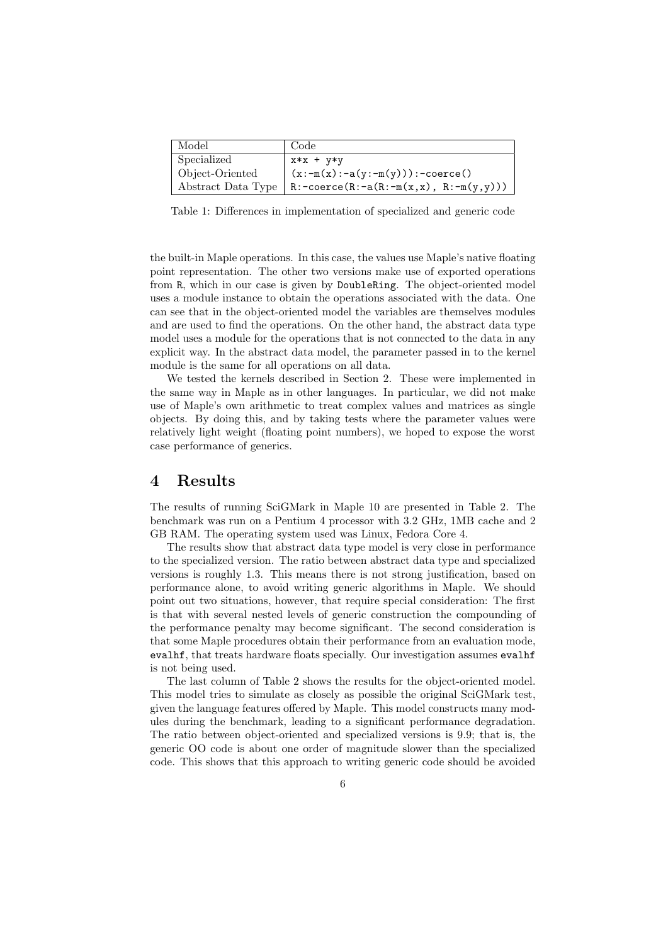| Model           | Code                                                            |
|-----------------|-----------------------------------------------------------------|
| Specialized     | x*x + y*y                                                       |
| Object-Oriented | $(x:-m(x):-a(y:-m(y))):-coerce()$                               |
|                 | Abstract Data Type   R: -coerce (R: -a(R: -m(x,x), R: -m(y,y))) |

Table 1: Differences in implementation of specialized and generic code

the built-in Maple operations. In this case, the values use Maple's native floating point representation. The other two versions make use of exported operations from R, which in our case is given by DoubleRing. The object-oriented model uses a module instance to obtain the operations associated with the data. One can see that in the object-oriented model the variables are themselves modules and are used to find the operations. On the other hand, the abstract data type model uses a module for the operations that is not connected to the data in any explicit way. In the abstract data model, the parameter passed in to the kernel module is the same for all operations on all data.

We tested the kernels described in Section 2. These were implemented in the same way in Maple as in other languages. In particular, we did not make use of Maple's own arithmetic to treat complex values and matrices as single objects. By doing this, and by taking tests where the parameter values were relatively light weight (floating point numbers), we hoped to expose the worst case performance of generics.

#### 4 Results

The results of running SciGMark in Maple 10 are presented in Table 2. The benchmark was run on a Pentium 4 processor with 3.2 GHz, 1MB cache and 2 GB RAM. The operating system used was Linux, Fedora Core 4.

The results show that abstract data type model is very close in performance to the specialized version. The ratio between abstract data type and specialized versions is roughly 1.3. This means there is not strong justification, based on performance alone, to avoid writing generic algorithms in Maple. We should point out two situations, however, that require special consideration: The first is that with several nested levels of generic construction the compounding of the performance penalty may become significant. The second consideration is that some Maple procedures obtain their performance from an evaluation mode, evalhf, that treats hardware floats specially. Our investigation assumes evalhf is not being used.

The last column of Table 2 shows the results for the object-oriented model. This model tries to simulate as closely as possible the original SciGMark test, given the language features offered by Maple. This model constructs many modules during the benchmark, leading to a significant performance degradation. The ratio between object-oriented and specialized versions is 9.9; that is, the generic OO code is about one order of magnitude slower than the specialized code. This shows that this approach to writing generic code should be avoided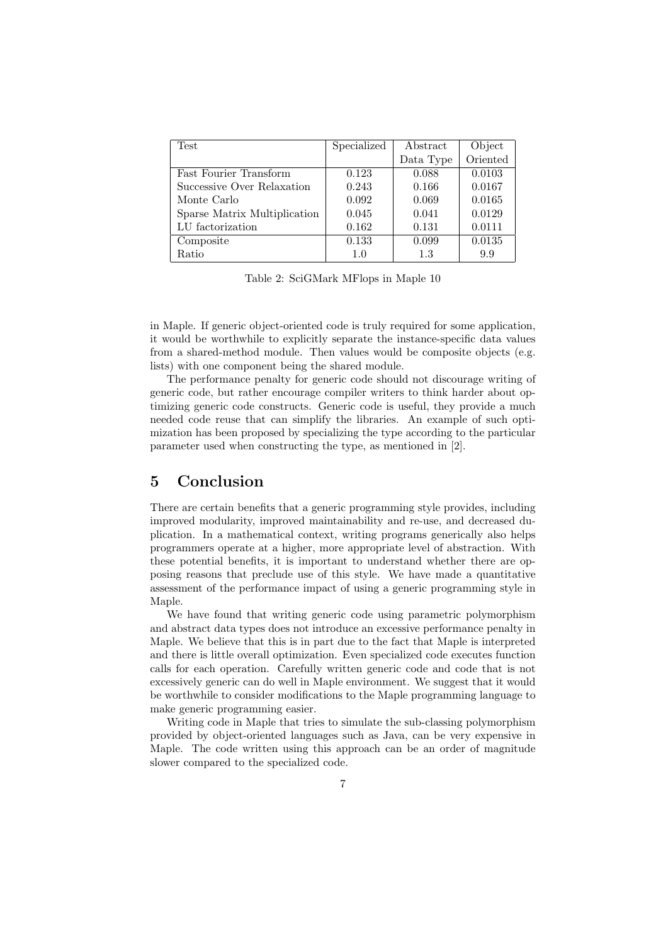| Test                         | Specialized | Abstract  | Object   |
|------------------------------|-------------|-----------|----------|
|                              |             | Data Type | Oriented |
| Fast Fourier Transform       | 0.123       | 0.088     | 0.0103   |
| Successive Over Relaxation   | 0.243       | 0.166     | 0.0167   |
| Monte Carlo                  | 0.092       | 0.069     | 0.0165   |
| Sparse Matrix Multiplication | 0.045       | 0.041     | 0.0129   |
| LU factorization             | 0.162       | 0.131     | 0.0111   |
| Composite                    | 0.133       | 0.099     | 0.0135   |
| Ratio                        | 1.0         | 1.3       | 9.9      |

Table 2: SciGMark MFlops in Maple 10

in Maple. If generic object-oriented code is truly required for some application, it would be worthwhile to explicitly separate the instance-specific data values from a shared-method module. Then values would be composite objects (e.g. lists) with one component being the shared module.

The performance penalty for generic code should not discourage writing of generic code, but rather encourage compiler writers to think harder about optimizing generic code constructs. Generic code is useful, they provide a much needed code reuse that can simplify the libraries. An example of such optimization has been proposed by specializing the type according to the particular parameter used when constructing the type, as mentioned in [2].

### 5 Conclusion

There are certain benefits that a generic programming style provides, including improved modularity, improved maintainability and re-use, and decreased duplication. In a mathematical context, writing programs generically also helps programmers operate at a higher, more appropriate level of abstraction. With these potential benefits, it is important to understand whether there are opposing reasons that preclude use of this style. We have made a quantitative assessment of the performance impact of using a generic programming style in Maple.

We have found that writing generic code using parametric polymorphism and abstract data types does not introduce an excessive performance penalty in Maple. We believe that this is in part due to the fact that Maple is interpreted and there is little overall optimization. Even specialized code executes function calls for each operation. Carefully written generic code and code that is not excessively generic can do well in Maple environment. We suggest that it would be worthwhile to consider modifications to the Maple programming language to make generic programming easier.

Writing code in Maple that tries to simulate the sub-classing polymorphism provided by object-oriented languages such as Java, can be very expensive in Maple. The code written using this approach can be an order of magnitude slower compared to the specialized code.